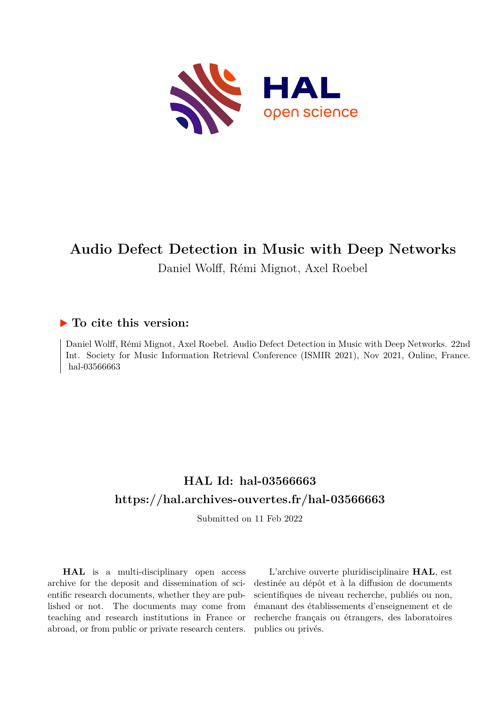

# **Audio Defect Detection in Music with Deep Networks** Daniel Wolff, Rémi Mignot, Axel Roebel

### **To cite this version:**

Daniel Wolff, Rémi Mignot, Axel Roebel. Audio Defect Detection in Music with Deep Networks. 22nd Int. Society for Music Information Retrieval Conference (ISMIR 2021), Nov 2021, Online, France. hal-03566663

## **HAL Id: hal-03566663 <https://hal.archives-ouvertes.fr/hal-03566663>**

Submitted on 11 Feb 2022

**HAL** is a multi-disciplinary open access archive for the deposit and dissemination of scientific research documents, whether they are published or not. The documents may come from teaching and research institutions in France or abroad, or from public or private research centers.

L'archive ouverte pluridisciplinaire **HAL**, est destinée au dépôt et à la diffusion de documents scientifiques de niveau recherche, publiés ou non, émanant des établissements d'enseignement et de recherche français ou étrangers, des laboratoires publics ou privés.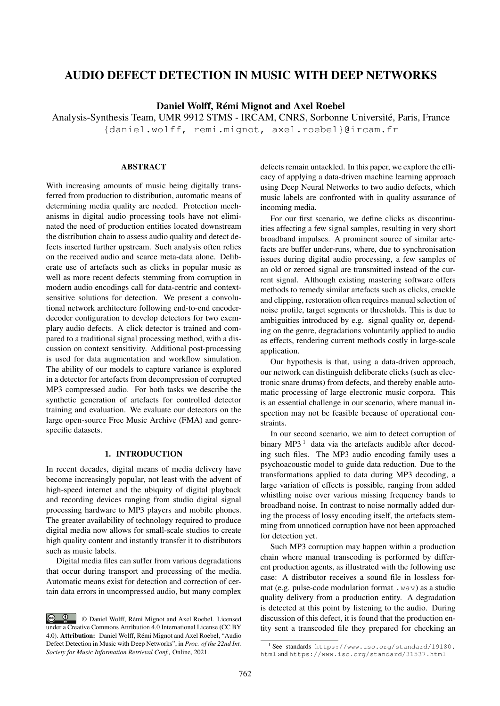### AUDIO DEFECT DETECTION IN MUSIC WITH DEEP NETWORKS

Daniel Wolff, Rémi Mignot and Axel Roebel

Analysis-Synthesis Team, UMR 9912 STMS - IRCAM, CNRS, Sorbonne Université, Paris, France {daniel.wolff, remi.mignot, axel.roebel}@ircam.fr

#### ABSTRACT

With increasing amounts of music being digitally transferred from production to distribution, automatic means of determining media quality are needed. Protection mechanisms in digital audio processing tools have not eliminated the need of production entities located downstream the distribution chain to assess audio quality and detect defects inserted further upstream. Such analysis often relies on the received audio and scarce meta-data alone. Deliberate use of artefacts such as clicks in popular music as well as more recent defects stemming from corruption in modern audio encodings call for data-centric and contextsensitive solutions for detection. We present a convolutional network architecture following end-to-end encoderdecoder configuration to develop detectors for two exemplary audio defects. A click detector is trained and compared to a traditional signal processing method, with a discussion on context sensitivity. Additional post-processing is used for data augmentation and workflow simulation. The ability of our models to capture variance is explored in a detector for artefacts from decompression of corrupted MP3 compressed audio. For both tasks we describe the synthetic generation of artefacts for controlled detector training and evaluation. We evaluate our detectors on the large open-source Free Music Archive (FMA) and genrespecific datasets.

#### 1. INTRODUCTION

In recent decades, digital means of media delivery have become increasingly popular, not least with the advent of high-speed internet and the ubiquity of digital playback and recording devices ranging from studio digital signal processing hardware to MP3 players and mobile phones. The greater availability of technology required to produce digital media now allows for small-scale studios to create high quality content and instantly transfer it to distributors such as music labels.

Digital media files can suffer from various degradations that occur during transport and processing of the media. Automatic means exist for detection and correction of certain data errors in uncompressed audio, but many complex defects remain untackled. In this paper, we explore the efficacy of applying a data-driven machine learning approach using Deep Neural Networks to two audio defects, which music labels are confronted with in quality assurance of incoming media.

For our first scenario, we define clicks as discontinuities affecting a few signal samples, resulting in very short broadband impulses. A prominent source of similar artefacts are buffer under-runs, where, due to synchronisation issues during digital audio processing, a few samples of an old or zeroed signal are transmitted instead of the current signal. Although existing mastering software offers methods to remedy similar artefacts such as clicks, crackle and clipping, restoration often requires manual selection of noise profile, target segments or thresholds. This is due to ambiguities introduced by e.g. signal quality or, depending on the genre, degradations voluntarily applied to audio as effects, rendering current methods costly in large-scale application.

Our hypothesis is that, using a data-driven approach, our network can distinguish deliberate clicks (such as electronic snare drums) from defects, and thereby enable automatic processing of large electronic music corpora. This is an essential challenge in our scenario, where manual inspection may not be feasible because of operational constraints.

In our second scenario, we aim to detect corruption of binary  $MP3<sup>1</sup>$  data via the artefacts audible after decoding such files. The MP3 audio encoding family uses a psychoacoustic model to guide data reduction. Due to the transformations applied to data during MP3 decoding, a large variation of effects is possible, ranging from added whistling noise over various missing frequency bands to broadband noise. In contrast to noise normally added during the process of lossy encoding itself, the artefacts stemming from unnoticed corruption have not been approached for detection yet.

Such MP3 corruption may happen within a production chain where manual transcoding is performed by different production agents, as illustrated with the following use case: A distributor receives a sound file in lossless format (e.g. pulse-code modulation format .wav) as a studio quality delivery from a production entity. A degradation is detected at this point by listening to the audio. During discussion of this defect, it is found that the production entity sent a transcoded file they prepared for checking an

<sup>©</sup> Daniel Wolff, Rémi Mignot and Axel Roebel. Licensed under a Creative Commons Attribution 4.0 International License (CC BY 4.0). Attribution: Daniel Wolff, Rémi Mignot and Axel Roebel, "Audio Defect Detection in Music with Deep Networks", in *Proc. of the 22nd Int. Society for Music Information Retrieval Conf.,* Online, 2021.

<sup>&</sup>lt;sup>1</sup> See standards https://www.iso.org/standard/19180. html and https://www.iso.org/standard/31537.html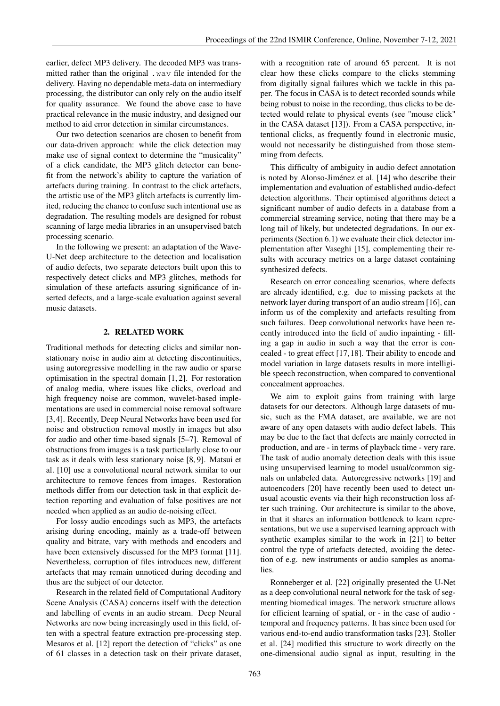earlier, defect MP3 delivery. The decoded MP3 was transmitted rather than the original .wav file intended for the delivery. Having no dependable meta-data on intermediary processing, the distributor can only rely on the audio itself for quality assurance. We found the above case to have practical relevance in the music industry, and designed our method to aid error detection in similar circumstances.

Our two detection scenarios are chosen to benefit from our data-driven approach: while the click detection may make use of signal context to determine the "musicality" of a click candidate, the MP3 glitch detector can benefit from the network's ability to capture the variation of artefacts during training. In contrast to the click artefacts, the artistic use of the MP3 glitch artefacts is currently limited, reducing the chance to confuse such intentional use as degradation. The resulting models are designed for robust scanning of large media libraries in an unsupervised batch processing scenario.

In the following we present: an adaptation of the Wave-U-Net deep architecture to the detection and localisation of audio defects, two separate detectors built upon this to respectively detect clicks and MP3 glitches, methods for simulation of these artefacts assuring significance of inserted defects, and a large-scale evaluation against several music datasets.

#### 2. RELATED WORK

Traditional methods for detecting clicks and similar nonstationary noise in audio aim at detecting discontinuities, using autoregressive modelling in the raw audio or sparse optimisation in the spectral domain [1, 2]. For restoration of analog media, where issues like clicks, overload and high frequency noise are common, wavelet-based implementations are used in commercial noise removal software [3,4]. Recently, Deep Neural Networks have been used for noise and obstruction removal mostly in images but also for audio and other time-based signals [5–7]. Removal of obstructions from images is a task particularly close to our task as it deals with less stationary noise [8, 9]. Matsui et al. [10] use a convolutional neural network similar to our architecture to remove fences from images. Restoration methods differ from our detection task in that explicit detection reporting and evaluation of false positives are not needed when applied as an audio de-noising effect.

For lossy audio encodings such as MP3, the artefacts arising during encoding, mainly as a trade-off between quality and bitrate, vary with methods and encoders and have been extensively discussed for the MP3 format [11]. Nevertheless, corruption of files introduces new, different artefacts that may remain unnoticed during decoding and thus are the subject of our detector.

Research in the related field of Computational Auditory Scene Analysis (CASA) concerns itself with the detection and labelling of events in an audio stream. Deep Neural Networks are now being increasingly used in this field, often with a spectral feature extraction pre-processing step. Mesaros et al. [12] report the detection of "clicks" as one of 61 classes in a detection task on their private dataset, with a recognition rate of around 65 percent. It is not clear how these clicks compare to the clicks stemming from digitally signal failures which we tackle in this paper. The focus in CASA is to detect recorded sounds while being robust to noise in the recording, thus clicks to be detected would relate to physical events (see "mouse click" in the CASA dataset [13]). From a CASA perspective, intentional clicks, as frequently found in electronic music, would not necessarily be distinguished from those stemming from defects.

This difficulty of ambiguity in audio defect annotation is noted by Alonso-Jiménez et al. [14] who describe their implementation and evaluation of established audio-defect detection algorithms. Their optimised algorithms detect a significant number of audio defects in a database from a commercial streaming service, noting that there may be a long tail of likely, but undetected degradations. In our experiments (Section 6.1) we evaluate their click detector implementation after Vaseghi [15], complementing their results with accuracy metrics on a large dataset containing synthesized defects.

Research on error concealing scenarios, where defects are already identified, e.g. due to missing packets at the network layer during transport of an audio stream [16], can inform us of the complexity and artefacts resulting from such failures. Deep convolutional networks have been recently introduced into the field of audio inpainting - filling a gap in audio in such a way that the error is concealed - to great effect [17,18]. Their ability to encode and model variation in large datasets results in more intelligible speech reconstruction, when compared to conventional concealment approaches.

We aim to exploit gains from training with large datasets for our detectors. Although large datasets of music, such as the FMA dataset, are available, we are not aware of any open datasets with audio defect labels. This may be due to the fact that defects are mainly corrected in production, and are - in terms of playback time - very rare. The task of audio anomaly detection deals with this issue using unsupervised learning to model usual/common signals on unlabeled data. Autoregressive networks [19] and autoencoders [20] have recently been used to detect unusual acoustic events via their high reconstruction loss after such training. Our architecture is similar to the above, in that it shares an information bottleneck to learn representations, but we use a supervised learning approach with synthetic examples similar to the work in [21] to better control the type of artefacts detected, avoiding the detection of e.g. new instruments or audio samples as anomalies.

Ronneberger et al. [22] originally presented the U-Net as a deep convolutional neural network for the task of segmenting biomedical images. The network structure allows for efficient learning of spatial, or - in the case of audio temporal and frequency patterns. It has since been used for various end-to-end audio transformation tasks [23]. Stoller et al. [24] modified this structure to work directly on the one-dimensional audio signal as input, resulting in the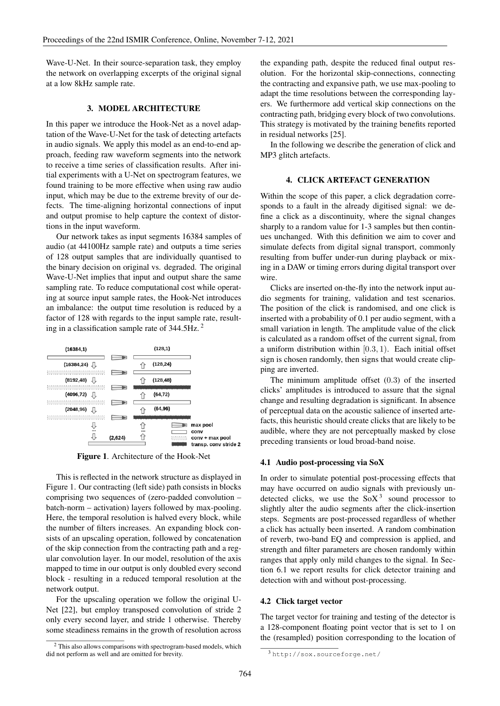Wave-U-Net. In their source-separation task, they employ the network on overlapping excerpts of the original signal at a low 8kHz sample rate.

#### 3. MODEL ARCHITECTURE

In this paper we introduce the Hook-Net as a novel adaptation of the Wave-U-Net for the task of detecting artefacts in audio signals. We apply this model as an end-to-end approach, feeding raw waveform segments into the network to receive a time series of classification results. After initial experiments with a U-Net on spectrogram features, we found training to be more effective when using raw audio input, which may be due to the extreme brevity of our defects. The time-aligning horizontal connections of input and output promise to help capture the context of distortions in the input waveform.

Our network takes as input segments 16384 samples of audio (at 44100Hz sample rate) and outputs a time series of 128 output samples that are individually quantised to the binary decision on original vs. degraded. The original Wave-U-Net implies that input and output share the same sampling rate. To reduce computational cost while operating at source input sample rates, the Hook-Net introduces an imbalance: the output time resolution is reduced by a factor of 128 with regards to the input sample rate, resulting in a classification sample rate of 344.5Hz. <sup>2</sup>



Figure 1. Architecture of the Hook-Net

This is reflected in the network structure as displayed in Figure 1. Our contracting (left side) path consists in blocks comprising two sequences of (zero-padded convolution – batch-norm – activation) layers followed by max-pooling. Here, the temporal resolution is halved every block, while the number of filters increases. An expanding block consists of an upscaling operation, followed by concatenation of the skip connection from the contracting path and a regular convolution layer. In our model, resolution of the axis mapped to time in our output is only doubled every second block - resulting in a reduced temporal resolution at the network output.

For the upscaling operation we follow the original U-Net [22], but employ transposed convolution of stride 2 only every second layer, and stride 1 otherwise. Thereby some steadiness remains in the growth of resolution across

<sup>2</sup> This also allows comparisons with spectrogram-based models, which did not perform as well and are omitted for brevity.

the expanding path, despite the reduced final output resolution. For the horizontal skip-connections, connecting the contracting and expansive path, we use max-pooling to adapt the time resolutions between the corresponding layers. We furthermore add vertical skip connections on the contracting path, bridging every block of two convolutions. This strategy is motivated by the training benefits reported in residual networks [25].

In the following we describe the generation of click and MP3 glitch artefacts.

#### 4. CLICK ARTEFACT GENERATION

Within the scope of this paper, a click degradation corresponds to a fault in the already digitised signal: we define a click as a discontinuity, where the signal changes sharply to a random value for 1-3 samples but then continues unchanged. With this definition we aim to cover and simulate defects from digital signal transport, commonly resulting from buffer under-run during playback or mixing in a DAW or timing errors during digital transport over wire.

Clicks are inserted on-the-fly into the network input audio segments for training, validation and test scenarios. The position of the click is randomised, and one click is inserted with a probability of 0.1 per audio segment, with a small variation in length. The amplitude value of the click is calculated as a random offset of the current signal, from a uniform distribution within  $[0.3, 1)$ . Each initial offset sign is chosen randomly, then signs that would create clipping are inverted.

The minimum amplitude offset (0.3) of the inserted clicks' amplitudes is introduced to assure that the signal change and resulting degradation is significant. In absence of perceptual data on the acoustic salience of inserted artefacts, this heuristic should create clicks that are likely to be audible, where they are not perceptually masked by close preceding transients or loud broad-band noise.

#### 4.1 Audio post-processing via SoX

In order to simulate potential post-processing effects that may have occurred on audio signals with previously undetected clicks, we use the  $SoX<sup>3</sup>$  sound processor to slightly alter the audio segments after the click-insertion steps. Segments are post-processed regardless of whether a click has actually been inserted. A random combination of reverb, two-band EQ and compression is applied, and strength and filter parameters are chosen randomly within ranges that apply only mild changes to the signal. In Section 6.1 we report results for click detector training and detection with and without post-processing.

#### 4.2 Click target vector

The target vector for training and testing of the detector is a 128-component floating point vector that is set to 1 on the (resampled) position corresponding to the location of

<sup>3</sup> http://sox.sourceforge.net/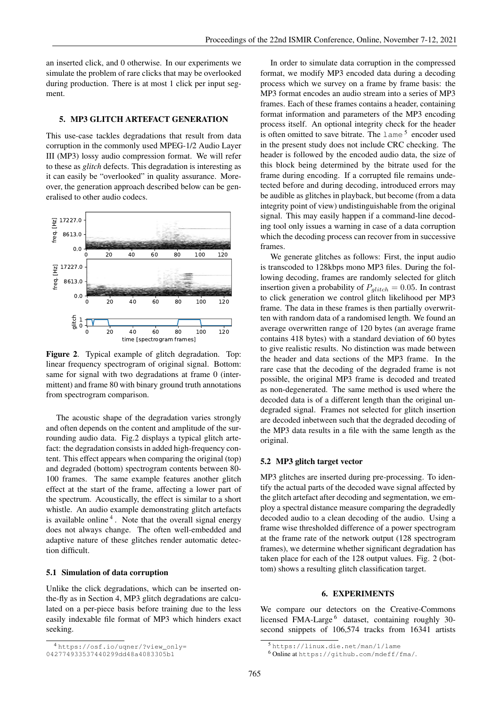an inserted click, and 0 otherwise. In our experiments we simulate the problem of rare clicks that may be overlooked during production. There is at most 1 click per input segment.

#### 5. MP3 GLITCH ARTEFACT GENERATION

This use-case tackles degradations that result from data corruption in the commonly used MPEG-1/2 Audio Layer III (MP3) lossy audio compression format. We will refer to these as *glitch* defects. This degradation is interesting as 1 it can easily be "overlooked" in quality assurance. Moreover, the generation approach described below can be gen-1 eralised to other audio codecs.



Figure 2. Typical example of glitch degradation. Top: linear frequency spectrogram of original signal. Bottom: same for signal with two degradations at frame 0 (intermittent) and frame 80 with binary ground truth annotations from spectrogram comparison.

The acoustic shape of the degradation varies strongly and often depends on the content and amplitude of the surrounding audio data. Fig.2 displays a typical glitch artefact: the degradation consists in added high-frequency content. This effect appears when comparing the original (top) and degraded (bottom) spectrogram contents between 80- 100 frames. The same example features another glitch effect at the start of the frame, affecting a lower part of the spectrum. Acoustically, the effect is similar to a short whistle. An audio example demonstrating glitch artefacts is available online<sup>4</sup>. Note that the overall signal energy does not always change. The often well-embedded and adaptive nature of these glitches render automatic detection difficult.

#### 5.1 Simulation of data corruption

Unlike the click degradations, which can be inserted onthe-fly as in Section 4, MP3 glitch degradations are calculated on a per-piece basis before training due to the less easily indexable file format of MP3 which hinders exact seeking.

In order to simulate data corruption in the compressed format, we modify MP3 encoded data during a decoding process which we survey on a frame by frame basis: the MP3 format encodes an audio stream into a series of MP3 frames. Each of these frames contains a header, containing format information and parameters of the MP3 encoding process itself. An optional integrity check for the header is often omitted to save bitrate. The  $l$  ame  $5$  encoder used in the present study does not include CRC checking. The header is followed by the encoded audio data, the size of this block being determined by the bitrate used for the frame during encoding. If a corrupted file remains undetected before and during decoding, introduced errors may be audible as glitches in playback, but become (from a data integrity point of view) undistinguishable from the original signal. This may easily happen if a command-line decoding tool only issues a warning in case of a data corruption which the decoding process can recover from in successive frames.

We generate glitches as follows: First, the input audio is transcoded to 128kbps mono MP3 files. During the following decoding, frames are randomly selected for glitch insertion given a probability of  $P_{glitch} = 0.05$ . In contrast to click generation we control glitch likelihood per MP3 frame. The data in these frames is then partially overwritten with random data of a randomised length. We found an average overwritten range of 120 bytes (an average frame contains 418 bytes) with a standard deviation of 60 bytes to give realistic results. No distinction was made between the header and data sections of the MP3 frame. In the rare case that the decoding of the degraded frame is not possible, the original MP3 frame is decoded and treated as non-degenerated. The same method is used where the decoded data is of a different length than the original undegraded signal. Frames not selected for glitch insertion are decoded inbetween such that the degraded decoding of the MP3 data results in a file with the same length as the original.

#### 5.2 MP3 glitch target vector

MP3 glitches are inserted during pre-processing. To identify the actual parts of the decoded wave signal affected by the glitch artefact after decoding and segmentation, we employ a spectral distance measure comparing the degradedly decoded audio to a clean decoding of the audio. Using a frame wise thresholded difference of a power spectrogram at the frame rate of the network output (128 spectrogram frames), we determine whether significant degradation has taken place for each of the 128 output values. Fig. 2 (bottom) shows a resulting glitch classification target.

#### 6. EXPERIMENTS

We compare our detectors on the Creative-Commons licensed FMA-Large<sup>6</sup> dataset, containing roughly 30second snippets of 106,574 tracks from 16341 artists

<sup>4</sup> https://osf.io/uqner/?view\_only=

<sup>042774933537440299</sup>dd48a4083305b1

<sup>5</sup> https://linux.die.net/man/1/lame

<sup>6</sup> Online at https://github.com/mdeff/fma/.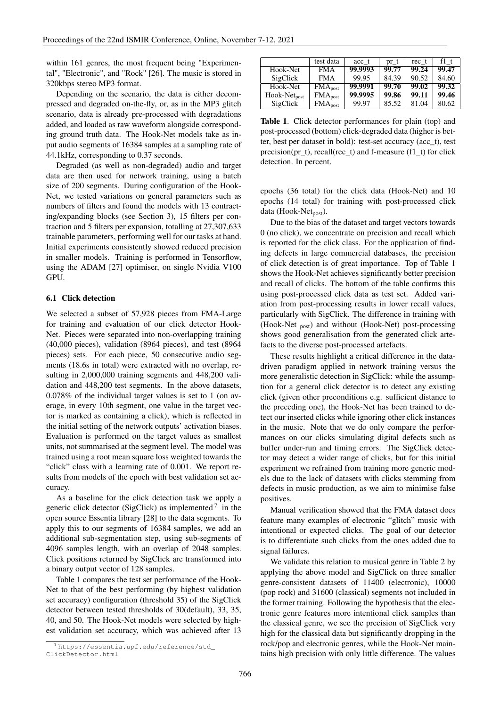within 161 genres, the most frequent being "Experimental", "Electronic", and "Rock" [26]. The music is stored in 320kbps stereo MP3 format.

Depending on the scenario, the data is either decompressed and degraded on-the-fly, or, as in the MP3 glitch scenario, data is already pre-processed with degradations added, and loaded as raw waveform alongside corresponding ground truth data. The Hook-Net models take as input audio segments of 16384 samples at a sampling rate of 44.1kHz, corresponding to 0.37 seconds.

Degraded (as well as non-degraded) audio and target data are then used for network training, using a batch size of 200 segments. During configuration of the Hook-Net, we tested variations on general parameters such as numbers of filters and found the models with 13 contracting/expanding blocks (see Section 3), 15 filters per contraction and 5 filters per expansion, totalling at 27,307,633 trainable parameters, performing well for our tasks at hand. Initial experiments consistently showed reduced precision in smaller models. Training is performed in Tensorflow, using the ADAM [27] optimiser, on single Nvidia V100 GPU.

#### 6.1 Click detection

We selected a subset of 57,928 pieces from FMA-Large for training and evaluation of our click detector Hook-Net. Pieces were separated into non-overlapping training (40,000 pieces), validation (8964 pieces), and test (8964 pieces) sets. For each piece, 50 consecutive audio segments (18.6s in total) were extracted with no overlap, resulting in 2,000,000 training segments and 448,200 validation and 448,200 test segments. In the above datasets, 0.078% of the individual target values is set to 1 (on average, in every 10th segment, one value in the target vector is marked as containing a click), which is reflected in the initial setting of the network outputs' activation biases. Evaluation is performed on the target values as smallest units, not summarised at the segment level. The model was trained using a root mean square loss weighted towards the "click" class with a learning rate of 0.001. We report results from models of the epoch with best validation set accuracy.

As a baseline for the click detection task we apply a generic click detector (SigClick) as implemented<sup>7</sup> in the open source Essentia library [28] to the data segments. To apply this to our segments of 16384 samples, we add an additional sub-segmentation step, using sub-segments of 4096 samples length, with an overlap of 2048 samples. Click positions returned by SigClick are transformed into a binary output vector of 128 samples.

Table 1 compares the test set performance of the Hook-Net to that of the best performing (by highest validation set accuracy) configuration (threshold 35) of the SigClick detector between tested thresholds of 30(default), 33, 35, 40, and 50. The Hook-Net models were selected by highest validation set accuracy, which was achieved after 13

|                   | test data    | acc t   | $pr_t$ | rec t | f1 t  |
|-------------------|--------------|---------|--------|-------|-------|
| Hook-Net          | <b>FMA</b>   | 99.9993 | 99.77  | 99.24 | 99.47 |
| SigClick          | <b>FMA</b>   | 99.95   | 84.39  | 90.52 | 84.60 |
| Hook-Net          | $FMA_{post}$ | 99.9991 | 99.70  | 99.02 | 99.32 |
| $Hook-Net_{post}$ | $FMA_{post}$ | 99.9995 | 99.86  | 99.11 | 99.46 |
| SigClick          | $FMA_{post}$ | 99.97   | 85.52  | 81.04 | 80.62 |

Table 1. Click detector performances for plain (top) and post-processed (bottom) click-degraded data (higher is better, best per dataset in bold): test-set accuracy (acc\_t), test precision(pr\_t), recall(rec\_t) and f-measure (f1\_t) for click detection. In percent.

epochs (36 total) for the click data (Hook-Net) and 10 epochs (14 total) for training with post-processed click data (Hook-Ne $t_{post}$ ).

Due to the bias of the dataset and target vectors towards 0 (no click), we concentrate on precision and recall which is reported for the click class. For the application of finding defects in large commercial databases, the precision of click detection is of great importance. Top of Table 1 shows the Hook-Net achieves significantly better precision and recall of clicks. The bottom of the table confirms this using post-processed click data as test set. Added variation from post-processing results in lower recall values, particularly with SigClick. The difference in training with (Hook-Net <sub>post</sub>) and without (Hook-Net) post-processing shows good generalisation from the generated click artefacts to the diverse post-processed artefacts.

These results highlight a critical difference in the datadriven paradigm applied in network training versus the more generalistic detection in SigClick: while the assumption for a general click detector is to detect any existing click (given other preconditions e.g. sufficient distance to the preceding one), the Hook-Net has been trained to detect our inserted clicks while ignoring other click instances in the music. Note that we do only compare the performances on our clicks simulating digital defects such as buffer under-run and timing errors. The SigClick detector may detect a wider range of clicks, but for this initial experiment we refrained from training more generic models due to the lack of datasets with clicks stemming from defects in music production, as we aim to minimise false positives.

Manual verification showed that the FMA dataset does feature many examples of electronic "glitch" music with intentional or expected clicks. The goal of our detector is to differentiate such clicks from the ones added due to signal failures.

We validate this relation to musical genre in Table 2 by applying the above model and SigClick on three smaller genre-consistent datasets of 11400 (electronic), 10000 (pop rock) and 31600 (classical) segments not included in the former training. Following the hypothesis that the electronic genre features more intentional click samples than the classical genre, we see the precision of SigClick very high for the classical data but significantly dropping in the rock/pop and electronic genres, while the Hook-Net maintains high precision with only little difference. The values

<sup>7</sup> https://essentia.upf.edu/reference/std\_ ClickDetector.html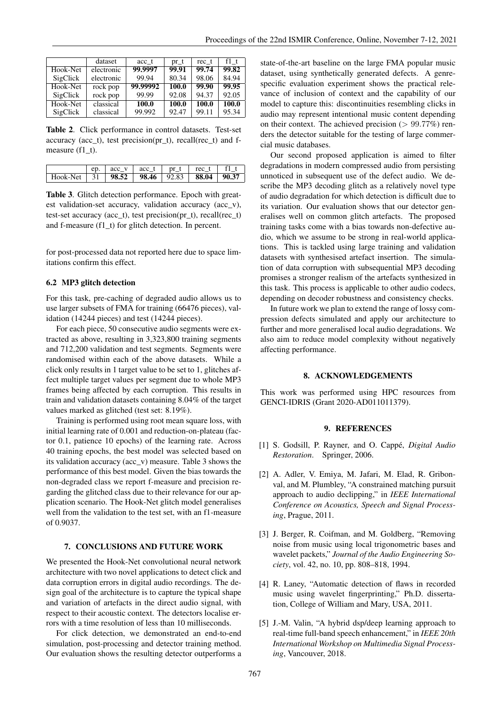|          | dataset    | acc t    | pr_t  | rec t | f1 t  |
|----------|------------|----------|-------|-------|-------|
| Hook-Net | electronic | 99.9997  | 99.91 | 99.74 | 99.82 |
| SigClick | electronic | 99.94    | 80.34 | 98.06 | 84.94 |
| Hook-Net | rock pop   | 99.99992 | 100.0 | 99.90 | 99.95 |
| SigClick | rock pop   | 99.99    | 92.08 | 94.37 | 92.05 |
| Hook-Net | classical  | 100.0    | 100.0 | 100.0 | 100.0 |
| SigClick | classical  | 99.992   | 92.47 | 99.11 | 95.34 |

Table 2. Click performance in control datasets. Test-set accuracy (acc\_t), test precision(pr\_t), recall(rec\_t) and fmeasure (f1\_t).

|                                                       |  | ep. $\vert$ acc_v $\vert$ acc_t $\vert$ pr_t $\vert$ rec_t $\vert$ f1 t $\vert$ |  |  |
|-------------------------------------------------------|--|---------------------------------------------------------------------------------|--|--|
| Hook-Net   31   98.52   98.46   92.83   88.04   90.37 |  |                                                                                 |  |  |

Table 3. Glitch detection performance. Epoch with greatest validation-set accuracy, validation accuracy (acc\_v), test-set accuracy (acc\_t), test precision(pr\_t), recall(rec\_t) and f-measure (f1\_t) for glitch detection. In percent.

for post-processed data not reported here due to space limitations confirm this effect.

#### 6.2 MP3 glitch detection

For this task, pre-caching of degraded audio allows us to use larger subsets of FMA for training (66476 pieces), validation (14244 pieces) and test (14244 pieces).

For each piece, 50 consecutive audio segments were extracted as above, resulting in 3,323,800 training segments and 712,200 validation and test segments. Segments were randomised within each of the above datasets. While a click only results in 1 target value to be set to 1, glitches affect multiple target values per segment due to whole MP3 frames being affected by each corruption. This results in train and validation datasets containing 8.04% of the target values marked as glitched (test set: 8.19%).

Training is performed using root mean square loss, with initial learning rate of 0.001 and reduction-on-plateau (factor 0.1, patience 10 epochs) of the learning rate. Across 40 training epochs, the best model was selected based on its validation accuracy (acc\_v) measure. Table 3 shows the performance of this best model. Given the bias towards the non-degraded class we report f-measure and precision regarding the glitched class due to their relevance for our application scenario. The Hook-Net glitch model generalises well from the validation to the test set, with an f1-measure of 0.9037.

#### 7. CONCLUSIONS AND FUTURE WORK

We presented the Hook-Net convolutional neural network architecture with two novel applications to detect click and data corruption errors in digital audio recordings. The design goal of the architecture is to capture the typical shape and variation of artefacts in the direct audio signal, with respect to their acoustic context. The detectors localise errors with a time resolution of less than 10 milliseconds.

For click detection, we demonstrated an end-to-end simulation, post-processing and detector training method. Our evaluation shows the resulting detector outperforms a state-of-the-art baseline on the large FMA popular music dataset, using synthetically generated defects. A genrespecific evaluation experiment shows the practical relevance of inclusion of context and the capability of our model to capture this: discontinuities resembling clicks in audio may represent intentional music content depending on their context. The achieved precision  $(> 99.77%)$  renders the detector suitable for the testing of large commercial music databases.

Our second proposed application is aimed to filter degradations in modern compressed audio from persisting unnoticed in subsequent use of the defect audio. We describe the MP3 decoding glitch as a relatively novel type of audio degradation for which detection is difficult due to its variation. Our evaluation shows that our detector generalises well on common glitch artefacts. The proposed training tasks come with a bias towards non-defective audio, which we assume to be strong in real-world applications. This is tackled using large training and validation datasets with synthesised artefact insertion. The simulation of data corruption with subsequential MP3 decoding promises a stronger realism of the artefacts synthesized in this task. This process is applicable to other audio codecs, depending on decoder robustness and consistency checks.

In future work we plan to extend the range of lossy compression defects simulated and apply our architecture to further and more generalised local audio degradations. We also aim to reduce model complexity without negatively affecting performance.

#### 8. ACKNOWLEDGEMENTS

This work was performed using HPC resources from GENCI-IDRIS (Grant 2020-AD011011379).

#### 9. REFERENCES

- [1] S. Godsill, P. Rayner, and O. Cappé, *Digital Audio Restoration*. Springer, 2006.
- [2] A. Adler, V. Emiya, M. Jafari, M. Elad, R. Gribonval, and M. Plumbley, "A constrained matching pursuit approach to audio declipping," in *IEEE International Conference on Acoustics, Speech and Signal Processing*, Prague, 2011.
- [3] J. Berger, R. Coifman, and M. Goldberg, "Removing noise from music using local trigonometric bases and wavelet packets," *Journal of the Audio Engineering Society*, vol. 42, no. 10, pp. 808–818, 1994.
- [4] R. Laney, "Automatic detection of flaws in recorded music using wavelet fingerprinting," Ph.D. dissertation, College of William and Mary, USA, 2011.
- [5] J.-M. Valin, "A hybrid dsp/deep learning approach to real-time full-band speech enhancement," in *IEEE 20th International Workshop on Multimedia Signal Processing*, Vancouver, 2018.